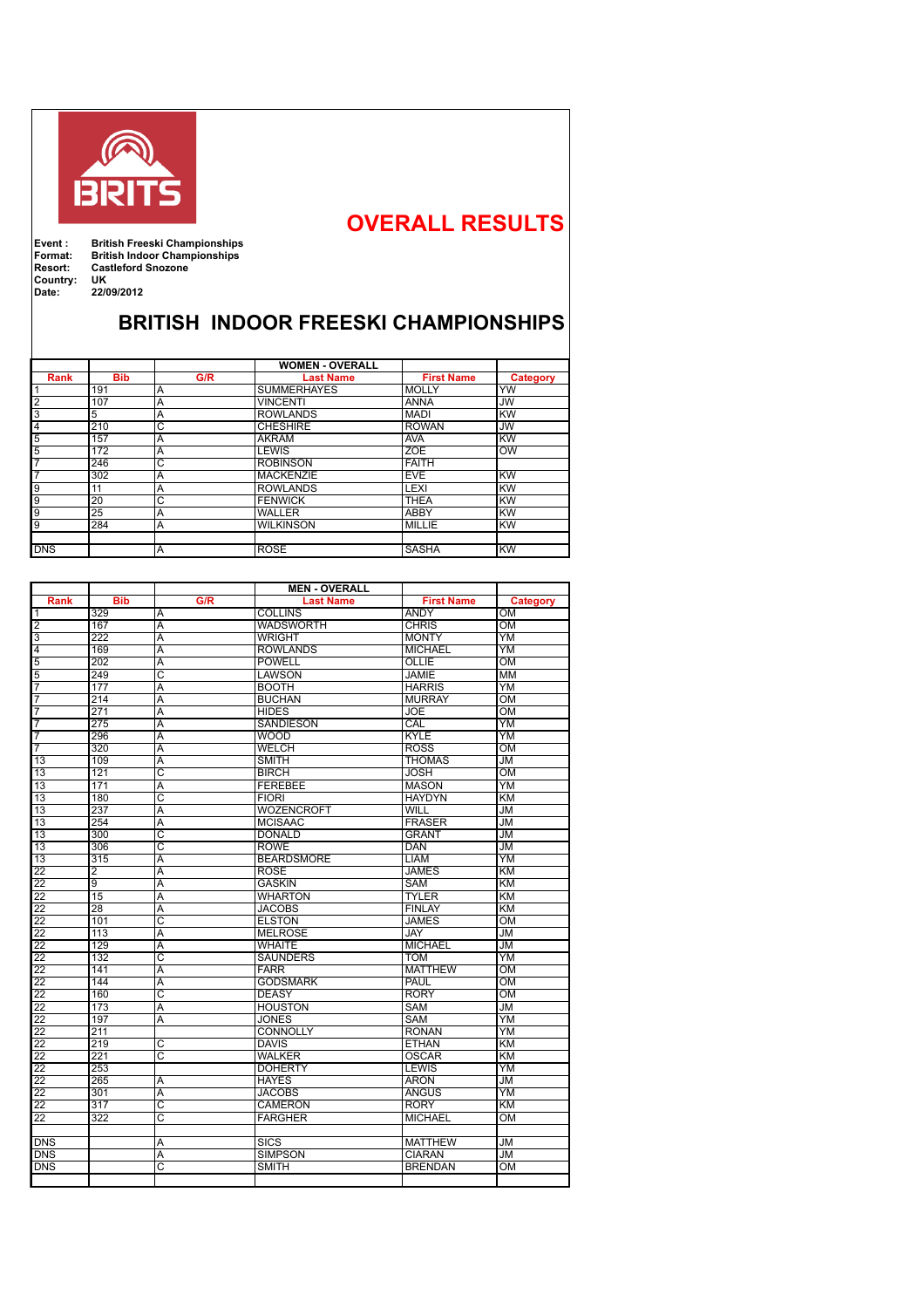

## **OVERALL RESULTS**

**Country:**<br>Date:

**Event : British Freeski Championships Format: British Indoor Championships Resort: Castleford Snozone**

**Date: 22/09/2012**

## **BRITISH INDOOR FREESKI CHAMPIONSHIPS**

|                |            |                       | <b>WOMEN - OVERALL</b> |                   |           |
|----------------|------------|-----------------------|------------------------|-------------------|-----------|
| Rank           | <b>Bib</b> | G/R                   | <b>Last Name</b>       | <b>First Name</b> | Category  |
|                | 191        | Α                     | <b>SUMMERHAYES</b>     | <b>MOLLY</b>      | <b>YW</b> |
| $\overline{2}$ | 107        | A                     | <b>VINCENTI</b>        | <b>ANNA</b>       | <b>JW</b> |
| 3              | 5          | A                     | <b>ROWLANDS</b>        | <b>MADI</b>       | KW        |
| $\overline{4}$ | 210        | C                     | <b>CHESHIRE</b>        | <b>ROWAN</b>      | JW        |
| $\overline{5}$ | 157        | A                     | <b>AKRAM</b>           | <b>AVA</b>        | KW        |
| $\overline{5}$ | 172        | Α                     | <b>LEWIS</b>           | <b>ZOE</b>        | <b>OW</b> |
| 7              | 246        | $\overline{\text{c}}$ | <b>ROBINSON</b>        | <b>FAITH</b>      |           |
| $\overline{7}$ | 302        | Α                     | <b>MACKENZIE</b>       | <b>EVE</b>        | KW        |
| 9              | 11         | A                     | <b>ROWLANDS</b>        | LEXI              | lĸw       |
| 9              | 20         | Ō                     | <b>FENWICK</b>         | <b>THEA</b>       | KW        |
| $\overline{9}$ | 25         | Α                     | <b>WALLER</b>          | <b>ABBY</b>       | KW        |
| $\overline{9}$ | 284        | Α                     | <b>WILKINSON</b>       | MILLIE            | <b>KW</b> |
|                |            |                       |                        |                   |           |
| <b>DNS</b>     |            | Ā                     | <b>ROSE</b>            | <b>SASHA</b>      | KW        |

|                 | <b>MEN - OVERALL</b> |                         |                   |                   |                 |  |  |
|-----------------|----------------------|-------------------------|-------------------|-------------------|-----------------|--|--|
| <b>Rank</b>     | <b>Bib</b>           | G/R                     | <b>Last Name</b>  | <b>First Name</b> | <b>Category</b> |  |  |
| ℸ               | 329                  | Α                       | <b>COLLINS</b>    | <b>ANDY</b>       | OM              |  |  |
| $\overline{2}$  | 167                  | $\overline{\mathsf{A}}$ | <b>WADSWORTH</b>  | <b>CHRIS</b>      | OM              |  |  |
| $\overline{3}$  | 222                  | A                       | <b>WRIGHT</b>     | <b>MONTY</b>      | YΜ              |  |  |
| 4               | 169                  | Α                       | <b>ROWLANDS</b>   | <b>MICHAEL</b>    | YM              |  |  |
| $\overline{5}$  | 202                  | A                       | <b>POWELL</b>     | OLLIE             | OM              |  |  |
| $\overline{5}$  | 249                  | $\overline{\text{c}}$   | LAWSON            | <b>JAMIE</b>      | <b>MM</b>       |  |  |
| 7               | 177                  | A                       | <b>BOOTH</b>      | <b>HARRIS</b>     | YM              |  |  |
| 7               | 214                  | Ā                       | <b>BUCHAN</b>     | <b>MURRAY</b>     | $\overline{OM}$ |  |  |
| 7               | 271                  | Ā                       | <b>HIDES</b>      | <b>JOE</b>        | $_{\text{OM}}$  |  |  |
| $\overline{7}$  | 275                  | $\overline{\mathsf{A}}$ | <b>SANDIESON</b>  | CAL               | <b>YM</b>       |  |  |
| 7               | 296                  | Ā                       | <b>WOOD</b>       | <b>KYLE</b>       | YM              |  |  |
| 7               | 320                  | $\overline{\mathsf{A}}$ | <b>WELCH</b>      | <b>ROSS</b>       | $\overline{OM}$ |  |  |
| 13              | 109                  | $\overline{\mathsf{A}}$ | <b>SMITH</b>      | <b>THOMAS</b>     | JM              |  |  |
| $\overline{13}$ | 121                  | $\overline{\text{c}}$   | <b>BIRCH</b>      | <b>JOSH</b>       | OM              |  |  |
| 13              | 171                  | Ā                       | <b>FEREBEE</b>    | <b>MASON</b>      | $\overline{YM}$ |  |  |
| 13              | 180                  | ट                       | <b>FIORI</b>      | <b>HAYDYN</b>     | $\overline{KM}$ |  |  |
| $\overline{13}$ | 237                  | $\overline{\mathsf{A}}$ | <b>WOZENCROFT</b> | WILL              | JM              |  |  |
| 13              | 254                  | $\overline{\mathsf{A}}$ | <b>MCISAAC</b>    | <b>FRASER</b>     | JM              |  |  |
| 13              | 300                  | $\overline{\rm c}$      | <b>DONALD</b>     | GRANT             | JM.             |  |  |
| 13              | 306                  | ਟ                       | <b>ROWE</b>       | DAN               | <b>JM</b>       |  |  |
| 13              | 315                  | $\overline{\mathsf{A}}$ | <b>BEARDSMORE</b> | <b>LIAM</b>       | YM              |  |  |
| 22              | $\overline{2}$       | A                       | <b>ROSE</b>       | <b>JAMES</b>      | <b>KM</b>       |  |  |
| 22              | $\overline{9}$       | Ā                       | <b>GASKIN</b>     | <b>SAM</b>        | KM              |  |  |
| $\overline{22}$ | 15                   | Ā                       | <b>WHARTON</b>    | <b>TYLER</b>      | <b>KM</b>       |  |  |
| $\overline{22}$ | $\overline{28}$      | $\overline{\mathsf{A}}$ | <b>JACOBS</b>     | <b>FINLAY</b>     | <b>KM</b>       |  |  |
| $\overline{22}$ | 101                  | $\overline{\text{c}}$   | <b>ELSTON</b>     | <b>JAMES</b>      | $\overline{OM}$ |  |  |
| $\overline{22}$ | 113                  | A                       | <b>MELROSE</b>    | <b>JAY</b>        | JM              |  |  |
| $\overline{22}$ | 129                  | Ā                       | <b>WHAITE</b>     | <b>MICHAEL</b>    | JM              |  |  |
| $\overline{22}$ | 132                  | $\overline{\text{c}}$   | <b>SAUNDERS</b>   | <b>TOM</b>        | YM              |  |  |
| $\overline{22}$ | 141                  | A                       | <b>FARR</b>       | <b>MATTHEW</b>    | OM              |  |  |
| 22              | 144                  | $\overline{A}$          | <b>GODSMARK</b>   | <b>PAUL</b>       | $\overline{OM}$ |  |  |
| $\overline{22}$ | 160                  | ਟ                       | <b>DEASY</b>      | <b>RORY</b>       | OM              |  |  |
| $\overline{22}$ | 173                  | Ā                       | <b>HOUSTON</b>    | <b>SAM</b>        | <b>JM</b>       |  |  |
| $\overline{22}$ | 197                  | $\overline{\mathsf{A}}$ | <b>JONES</b>      | <b>SAM</b>        | YM              |  |  |
| $\overline{22}$ | 211                  |                         | <b>CONNOLLY</b>   | <b>RONAN</b>      | YM              |  |  |
| $\overline{22}$ | 219                  | ਟ                       | <b>DAVIS</b>      | <b>ETHAN</b>      | KM              |  |  |
| $\overline{22}$ | 221                  | ਟ                       | <b>WALKER</b>     | <b>OSCAR</b>      | KM              |  |  |
| $\overline{22}$ | 253                  |                         | <b>DOHERTY</b>    | <b>LEWIS</b>      | YM              |  |  |
| $\overline{22}$ | 265                  | A                       | <b>HAYES</b>      | <b>ARON</b>       | <b>JM</b>       |  |  |
| $\overline{22}$ | 301                  | $\overline{\mathsf{A}}$ | <b>JACOBS</b>     | <b>ANGUS</b>      | YM              |  |  |
| $\overline{22}$ | 317                  | ट                       | <b>CAMERON</b>    | <b>RORY</b>       | <b>KM</b>       |  |  |
| $\overline{22}$ | 322                  | $\overline{\mathsf{C}}$ | <b>FARGHER</b>    | <b>MICHAEL</b>    | OM              |  |  |
|                 |                      |                         |                   |                   |                 |  |  |
| <b>DNS</b>      |                      | Α                       | <b>SICS</b>       | <b>MATTHEW</b>    | JM              |  |  |
| <b>DNS</b>      |                      | A                       | <b>SIMPSON</b>    | <b>CIARAN</b>     | <b>JM</b>       |  |  |
| <b>DNS</b>      |                      | C                       | <b>SMITH</b>      | <b>BRENDAN</b>    | OM              |  |  |
|                 |                      |                         |                   |                   |                 |  |  |